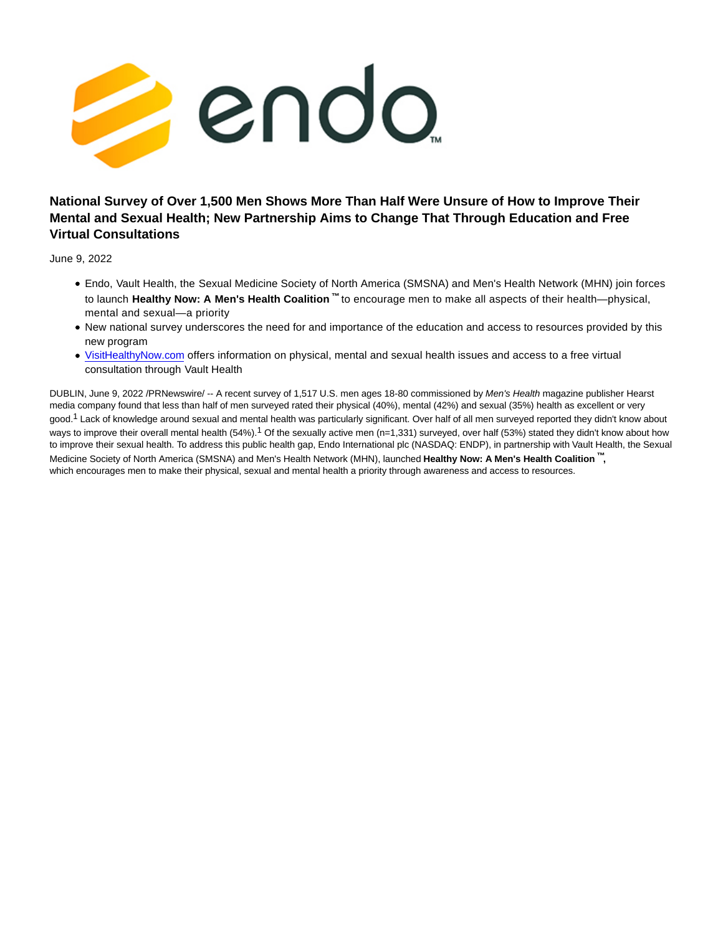

## **National Survey of Over 1,500 Men Shows More Than Half Were Unsure of How to Improve Their Mental and Sexual Health; New Partnership Aims to Change That Through Education and Free Virtual Consultations**

June 9, 2022

- Endo, Vault Health, the Sexual Medicine Society of North America (SMSNA) and Men's Health Network (MHN) join forces to launch **Healthy Now: A Men's Health Coalition ™** to encourage men to make all aspects of their health—physical, mental and sexual—a priority
- New national survey underscores the need for and importance of the education and access to resources provided by this new program
- [VisitHealthyNow.com o](http://visithealthynow.com/)ffers information on physical, mental and sexual health issues and access to a free virtual consultation through Vault Health

DUBLIN, June 9, 2022 /PRNewswire/ -- A recent survey of 1,517 U.S. men ages 18-80 commissioned by Men's Health magazine publisher Hearst media company found that less than half of men surveyed rated their physical (40%), mental (42%) and sexual (35%) health as excellent or very good.<sup>1</sup> Lack of knowledge around sexual and mental health was particularly significant. Over half of all men surveyed reported they didn't know about ways to improve their overall mental health (54%).<sup>1</sup> Of the sexually active men (n=1,331) surveyed, over half (53%) stated they didn't know about how to improve their sexual health. To address this public health gap, Endo International plc (NASDAQ: ENDP), in partnership with Vault Health, the Sexual Medicine Society of North America (SMSNA) and Men's Health Network (MHN), launched **Healthy Now: A Men's Health Coalition ™,** which encourages men to make their physical, sexual and mental health a priority through awareness and access to resources.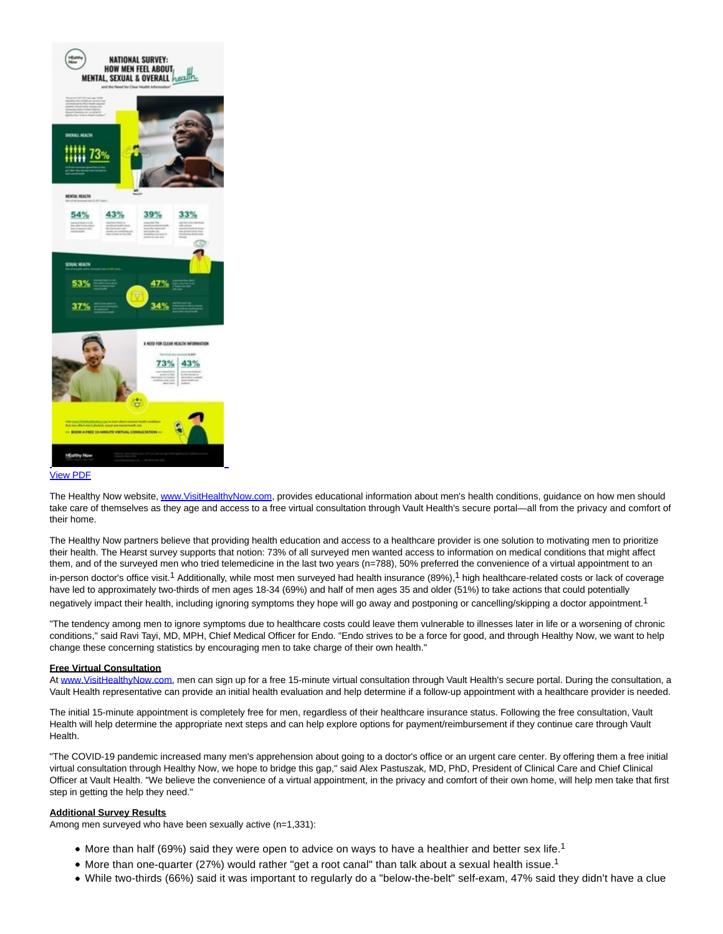

The Healthy Now website[, www.VisitHealthyNow.com,](https://c212.net/c/link/?t=0&l=en&o=3562284-1&h=1010163741&u=http%3A%2F%2Fwww.visithealthynow.com%2F&a=www.VisitHealthyNow.com) provides educational information about men's health conditions, guidance on how men should take care of themselves as they age and access to a free virtual consultation through Vault Health's secure portal—all from the privacy and comfort of their home.

The Healthy Now partners believe that providing health education and access to a healthcare provider is one solution to motivating men to prioritize their health. The Hearst survey supports that notion: 73% of all surveyed men wanted access to information on medical conditions that might affect them, and of the surveyed men who tried telemedicine in the last two years (n=788), 50% preferred the convenience of a virtual appointment to an in-person doctor's office visit.<sup>1</sup> Additionally, while most men surveyed had health insurance (89%),<sup>1</sup> high healthcare-related costs or lack of coverage have led to approximately two-thirds of men ages 18-34 (69%) and half of men ages 35 and older (51%) to take actions that could potentially negatively impact their health, including ignoring symptoms they hope will go away and postponing or cancelling/skipping a doctor appointment.<sup>1</sup>

"The tendency among men to ignore symptoms due to healthcare costs could leave them vulnerable to illnesses later in life or a worsening of chronic conditions," said Ravi Tayi, MD, MPH, Chief Medical Officer for Endo. "Endo strives to be a force for good, and through Healthy Now, we want to help change these concerning statistics by encouraging men to take charge of their own health."

#### **Free Virtual Consultation**

At [www.VisitHealthyNow.com,](https://c212.net/c/link/?t=0&l=en&o=3562284-1&h=1010163741&u=http%3A%2F%2Fwww.visithealthynow.com%2F&a=www.VisitHealthyNow.com) men can sign up for a free 15-minute virtual consultation through Vault Health's secure portal. During the consultation, a Vault Health representative can provide an initial health evaluation and help determine if a follow-up appointment with a healthcare provider is needed.

The initial 15-minute appointment is completely free for men, regardless of their healthcare insurance status. Following the free consultation, Vault Health will help determine the appropriate next steps and can help explore options for payment/reimbursement if they continue care through Vault Health.

"The COVID-19 pandemic increased many men's apprehension about going to a doctor's office or an urgent care center. By offering them a free initial virtual consultation through Healthy Now, we hope to bridge this gap," said Alex Pastuszak, MD, PhD, President of Clinical Care and Chief Clinical Officer at Vault Health. "We believe the convenience of a virtual appointment, in the privacy and comfort of their own home, will help men take that first step in getting the help they need."

#### **Additional Survey Results**

Among men surveyed who have been sexually active (n=1,331):

- More than half (69%) said they were open to advice on ways to have a healthier and better sex life.<sup>1</sup>
- $\bullet$  More than one-quarter (27%) would rather "get a root canal" than talk about a sexual health issue.<sup>1</sup>
- While two-thirds (66%) said it was important to regularly do a "below-the-belt" self-exam, 47% said they didn't have a clue